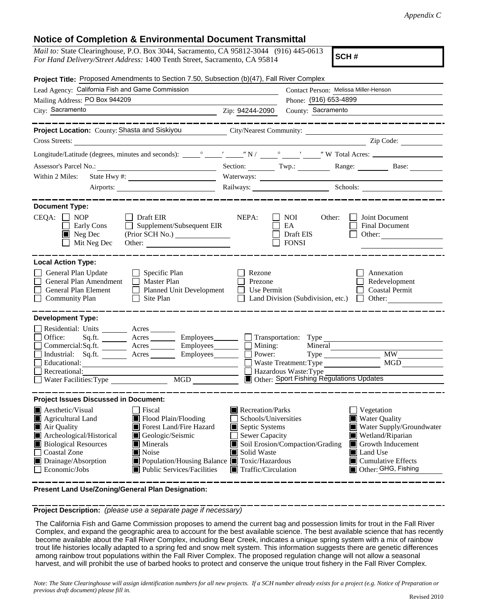## **Notice of Completion & Environmental Document Transmittal**

| <i>Mail to:</i> State Clearinghouse, P.O. Box 3044, Sacramento, CA 95812-3044 (916) 445-0613 |  |
|----------------------------------------------------------------------------------------------|--|
| For Hand Delivery/Street Address: 1400 Tenth Street, Sacramento, CA 95814                    |  |

**SCH #**

| Project Title: Proposed Amendments to Section 7.50, Subsection (b)(47), Fall River Complex                                                                                                                                                                                                                                                                                                                                                 |                                                                                                                                   |                                                                                                                                                                                                              |  |  |  |  |  |
|--------------------------------------------------------------------------------------------------------------------------------------------------------------------------------------------------------------------------------------------------------------------------------------------------------------------------------------------------------------------------------------------------------------------------------------------|-----------------------------------------------------------------------------------------------------------------------------------|--------------------------------------------------------------------------------------------------------------------------------------------------------------------------------------------------------------|--|--|--|--|--|
| Lead Agency: California Fish and Game Commission                                                                                                                                                                                                                                                                                                                                                                                           | Contact Person: Melissa Miller-Henson                                                                                             |                                                                                                                                                                                                              |  |  |  |  |  |
| Mailing Address: PO Box 944209                                                                                                                                                                                                                                                                                                                                                                                                             |                                                                                                                                   | Phone: (916) 653-4899                                                                                                                                                                                        |  |  |  |  |  |
| City: Sacramento                                                                                                                                                                                                                                                                                                                                                                                                                           | Zip: 94244-2090                                                                                                                   | County: Sacramento                                                                                                                                                                                           |  |  |  |  |  |
| Project Location: County: Shasta and Siskiyou City/Nearest Community: ___________<br>Cross Streets:<br><u> 1989 - Andrea Station Barbara (h. 1989)</u>                                                                                                                                                                                                                                                                                     |                                                                                                                                   | __________________<br>Zip Code:                                                                                                                                                                              |  |  |  |  |  |
|                                                                                                                                                                                                                                                                                                                                                                                                                                            |                                                                                                                                   |                                                                                                                                                                                                              |  |  |  |  |  |
|                                                                                                                                                                                                                                                                                                                                                                                                                                            |                                                                                                                                   | Section: Twp.: Range: Base:                                                                                                                                                                                  |  |  |  |  |  |
| Within 2 Miles:                                                                                                                                                                                                                                                                                                                                                                                                                            |                                                                                                                                   |                                                                                                                                                                                                              |  |  |  |  |  |
|                                                                                                                                                                                                                                                                                                                                                                                                                                            |                                                                                                                                   | Railways: Schools: Schools:                                                                                                                                                                                  |  |  |  |  |  |
| ---------------                                                                                                                                                                                                                                                                                                                                                                                                                            |                                                                                                                                   |                                                                                                                                                                                                              |  |  |  |  |  |
| <b>Document Type:</b><br>$CEQA: \Box NP$<br>Draft EIR<br>Supplement/Subsequent EIR<br>Early Cons<br>$\blacksquare$ Neg Dec<br>Mit Neg Dec<br>Other:                                                                                                                                                                                                                                                                                        | NEPA:                                                                                                                             | <b>NOI</b><br>Other:<br>Joint Document<br>EA<br>Final Document<br>Draft EIS<br>Other:<br><b>FONSI</b>                                                                                                        |  |  |  |  |  |
| <b>Local Action Type:</b>                                                                                                                                                                                                                                                                                                                                                                                                                  |                                                                                                                                   |                                                                                                                                                                                                              |  |  |  |  |  |
| General Plan Update<br>$\Box$ Specific Plan<br>General Plan Amendment<br>$\Box$ Master Plan<br>General Plan Element<br>Planned Unit Development<br><b>Community Plan</b><br>Site Plan<br>$\perp$                                                                                                                                                                                                                                           | Rezone<br>Prezone<br>Use Permit                                                                                                   | Annexation<br>Redevelopment<br><b>Coastal Permit</b><br>Land Division (Subdivision, etc.)<br>Other:<br>$\Box$                                                                                                |  |  |  |  |  |
| <b>Development Type:</b><br>Residential: Units ________ Acres ______                                                                                                                                                                                                                                                                                                                                                                       |                                                                                                                                   |                                                                                                                                                                                                              |  |  |  |  |  |
| Office:<br>Sq.ft. _________ Acres __________ Employees________ ___ Transportation: Type ______________________<br>Commercial:Sq.ft. _______ Acres ________ Employees_______  <br>Industrial: Sq.ft. _______ Acres ______<br>Employees________<br>Educational:<br>Recreational:                                                                                                                                                             | $\Box$ Mining:<br>$\overline{\phantom{a}}$ Power:                                                                                 | Mineral<br><b>MW</b><br>MGD<br>Waste Treatment: Type<br>Hazardous Waste: Type                                                                                                                                |  |  |  |  |  |
| MGD MGD<br>Water Facilities: Type                                                                                                                                                                                                                                                                                                                                                                                                          |                                                                                                                                   | Other: Sport Fishing Regulations Updates                                                                                                                                                                     |  |  |  |  |  |
| <b>Project Issues Discussed in Document:</b><br><b>Aesthetic/Visual</b><br>  Fiscal<br>Flood Plain/Flooding<br>Agricultural Land<br>Air Quality<br>Forest Land/Fire Hazard<br>Archeological/Historical<br>Geologic/Seismic<br><b>Biological Resources</b><br>Minerals<br><b>Coastal Zone</b><br>Noise<br>Drainage/Absorption<br>Population/Housing Balance ■ Toxic/Hazardous<br>Economic/Jobs<br>$\blacksquare$ Public Services/Facilities | Recreation/Parks<br>Schools/Universities<br>Septic Systems<br>Sewer Capacity<br>Solid Waste<br>$\blacksquare$ Traffic/Circulation | <i>Vegetation</i><br>■ Water Quality<br>Water Supply/Groundwater<br>Wetland/Riparian<br>Soil Erosion/Compaction/Grading<br>Growth Inducement<br>Land Use<br>$\Box$ Cumulative Effects<br>Other: GHG, Fishing |  |  |  |  |  |

**Present Land Use/Zoning/General Plan Designation:**

**Project Description:** *(please use a separate page if necessary)*

 The California Fish and Game Commission proposes to amend the current bag and possession limits for trout in the Fall River Complex, and expand the geographic area to account for the best available science. The best available science that has recently become available about the Fall River Complex, including Bear Creek, indicates a unique spring system with a mix of rainbow trout life histories locally adapted to a spring fed and snow melt system. This information suggests there are genetic differences among rainbow trout populations within the Fall River Complex. The proposed regulation change will not allow a seasonal harvest, and will prohibit the use of barbed hooks to protect and conserve the unique trout fishery in the Fall River Complex.

*Note: The State Clearinghouse will assign identification numbers for all new projects. If a SCH number already exists for a project (e.g. Notice of Preparation or previous draft document) please fill in.*